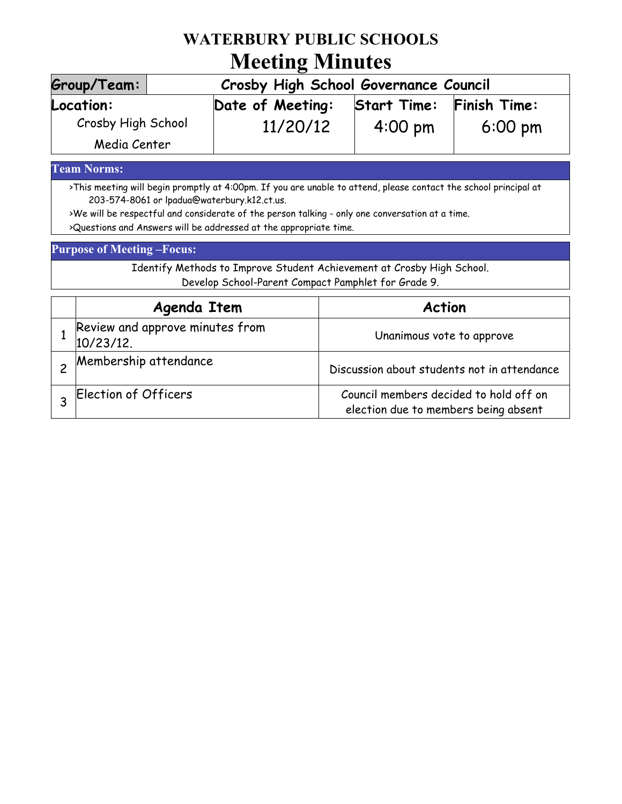## **WATERBURY PUBLIC SCHOOLS Meeting Minutes**

| Group/Team:                        | Crosby High School Governance Council |                    |                     |
|------------------------------------|---------------------------------------|--------------------|---------------------|
| Location:                          | Date of Meeting:                      | <b>Start Time:</b> | <b>Finish Time:</b> |
| Crosby High School<br>Media Center | 11/20/12                              | $4:00 \text{ pm}$  | $6:00 \text{ pm}$   |

### **Team Norms:**

>This meeting will begin promptly at 4:00pm. If you are unable to attend, please contact the school principal at 203-574-8061 or lpadua@waterbury.k12.ct.us.

>We will be respectful and considerate of the person talking - only one conversation at a time. >Questions and Answers will be addressed at the appropriate time.

#### **Purpose of Meeting –Focus:**

Identify Methods to Improve Student Achievement at Crosby High School. Develop School-Parent Compact Pamphlet for Grade 9.

| Agenda Item                                     | <b>Action</b>                                                                  |
|-------------------------------------------------|--------------------------------------------------------------------------------|
| Review and approve minutes from<br>$10/23/12$ . | Unanimous vote to approve                                                      |
| Membership attendance                           | Discussion about students not in attendance                                    |
| Election of Officers                            | Council members decided to hold off on<br>election due to members being absent |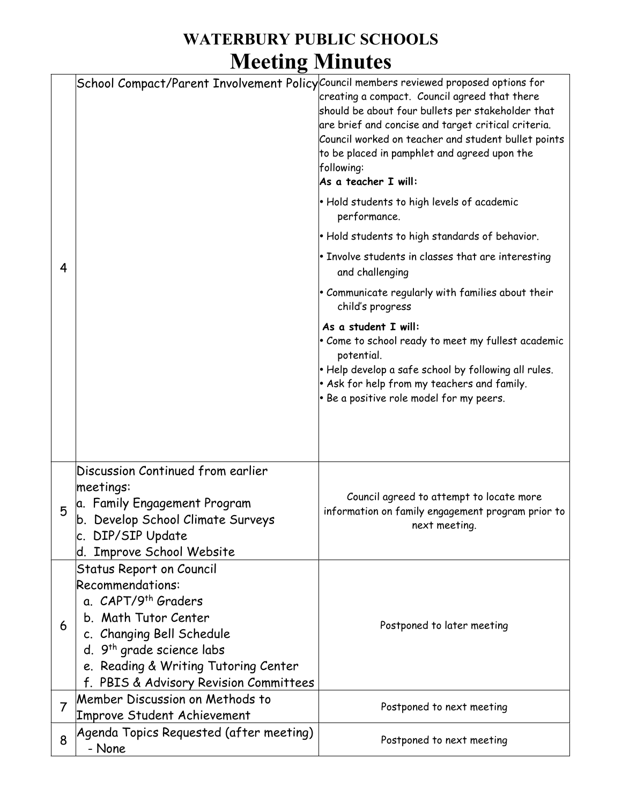## **WATERBURY PUBLIC SCHOOLS Meeting Minutes**

| 4              | School Compact/Parent Involvement Policy Council members reviewed proposed options for                                                                                                                                                                                 | creating a compact. Council agreed that there<br>should be about four bullets per stakeholder that<br>are brief and concise and target critical criteria.<br>Council worked on teacher and student bullet points<br>to be placed in pamphlet and agreed upon the<br>following:<br>As a teacher I will:<br>• Hold students to high levels of academic<br>performance.<br>• Hold students to high standards of behavior.<br>$\cdot$ Involve students in classes that are interesting<br>and challenging<br>$\bullet$ Communicate regularly with families about their<br>child's progress<br>As a student I will:<br>Come to school ready to meet my fullest academic<br>potential.<br>$\cdot$ Help develop a safe school by following all rules.<br>• Ask for help from my teachers and family.<br>. Be a positive role model for my peers. |
|----------------|------------------------------------------------------------------------------------------------------------------------------------------------------------------------------------------------------------------------------------------------------------------------|-------------------------------------------------------------------------------------------------------------------------------------------------------------------------------------------------------------------------------------------------------------------------------------------------------------------------------------------------------------------------------------------------------------------------------------------------------------------------------------------------------------------------------------------------------------------------------------------------------------------------------------------------------------------------------------------------------------------------------------------------------------------------------------------------------------------------------------------|
| 5              | Discussion Continued from earlier<br>meetings:<br>a. Family Engagement Program<br>b. Develop School Climate Surveys<br>c. DIP/SIP Update<br>d. Improve School Website                                                                                                  | Council agreed to attempt to locate more<br>information on family engagement program prior to<br>next meeting.                                                                                                                                                                                                                                                                                                                                                                                                                                                                                                                                                                                                                                                                                                                            |
| 6              | <b>Status Report on Council</b><br>Recommendations:<br>a. CAPT/9 <sup>th</sup> Graders<br>b. Math Tutor Center<br>c. Changing Bell Schedule<br>d. 9 <sup>th</sup> grade science labs<br>e. Reading & Writing Tutoring Center<br>f. PBIS & Advisory Revision Committees | Postponed to later meeting                                                                                                                                                                                                                                                                                                                                                                                                                                                                                                                                                                                                                                                                                                                                                                                                                |
| $\overline{7}$ | Member Discussion on Methods to<br>Improve Student Achievement                                                                                                                                                                                                         | Postponed to next meeting                                                                                                                                                                                                                                                                                                                                                                                                                                                                                                                                                                                                                                                                                                                                                                                                                 |
| 8              | Agenda Topics Requested (after meeting)<br>- None                                                                                                                                                                                                                      | Postponed to next meeting                                                                                                                                                                                                                                                                                                                                                                                                                                                                                                                                                                                                                                                                                                                                                                                                                 |